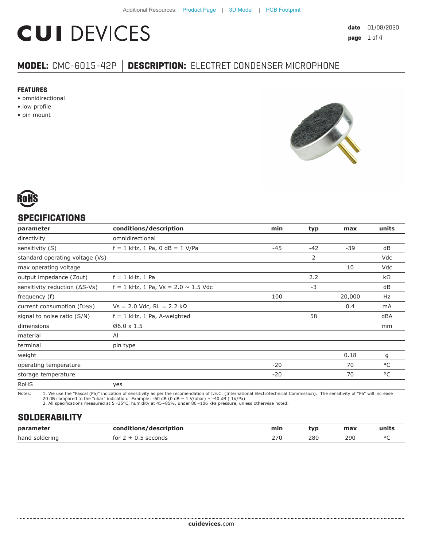# **CUI DEVICES**

## **MODEL:** CMC-6015-42P **│ DESCRIPTION:** ELECTRET CONDENSER MICROPHONE

#### **FEATURES**

- omnidirectional
- low profile
- pin mount





#### **SPECIFICATIONS**

| parameter                               | conditions/description                     | min   | typ   | max    | units |
|-----------------------------------------|--------------------------------------------|-------|-------|--------|-------|
| directivity                             | omnidirectional                            |       |       |        |       |
| sensitivity (S)                         | $f = 1$ kHz, 1 Pa, 0 dB = 1 V/Pa           | $-45$ | $-42$ | $-39$  | dB    |
| standard operating voltage (Vs)         |                                            |       | 2     |        | Vdc   |
| max operating voltage                   |                                            |       |       | 10     | Vdc   |
| output impedance (Zout)                 | $f = 1$ kHz, 1 Pa                          |       | 2.2   |        | kΩ    |
| sensitivity reduction $( \Delta S$ -Vs) | $f = 1$ kHz, 1 Pa, Vs = 2.0 $\sim$ 1.5 Vdc |       | $-3$  |        | dB    |
| frequency (f)                           |                                            | 100   |       | 20,000 | Hz    |
| current consumption (IDSS)              | $Vs = 2.0$ Vdc, RL = 2.2 kΩ                |       |       | 0.4    | mA    |
| signal to noise ratio (S/N)             | $f = 1$ kHz, 1 Pa, A-weighted              |       | 58    |        | dBA   |
| dimensions                              | $06.0 \times 1.5$                          |       |       |        | mm    |
| material                                | AI                                         |       |       |        |       |
| terminal                                | pin type                                   |       |       |        |       |
| weight                                  |                                            |       |       | 0.18   | g     |
| operating temperature                   |                                            | $-20$ |       | 70     | °C    |
| storage temperature                     |                                            | $-20$ |       | 70     | °C    |
| <b>RoHS</b>                             | yes                                        |       |       |        |       |

Notes: 1. We use the "Pascal (Pa)" indication of sensitivity as per the recomendation of I.E.C. (International Electrotechnical Commission). The sensitivity of "Pa" will increase

20 dB compared to the "ubar" indication. Example: -60 dB (0 dB = 1 V/ubar) = -40 dB ( 1V/Pa) 2. All specifications measured at 5~35°C, humidity at 45~85%, under 86~106 kPa pressure, unless otherwise noted.

#### **SOLDERABILITY**

| parameter      | conditions/description                  | min | tvp | max | units  |
|----------------|-----------------------------------------|-----|-----|-----|--------|
| hand soldering | <sup>-</sup> seconds<br>for $2 \pm 0.5$ | 27C | 280 | 290 | $\sim$ |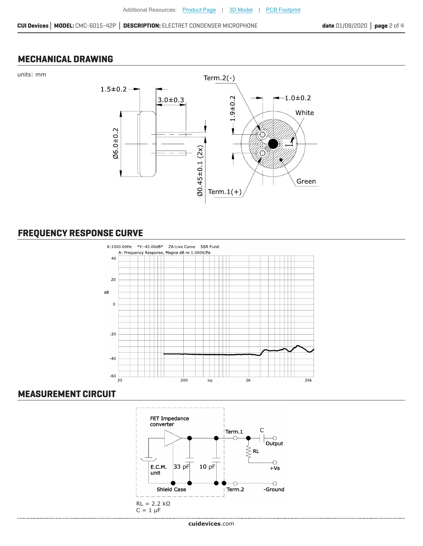#### **MECHANICAL DRAWING**





### **FREQUENCY RESPONSE CURVE**



#### **MEASUREMENT CIRCUIT**

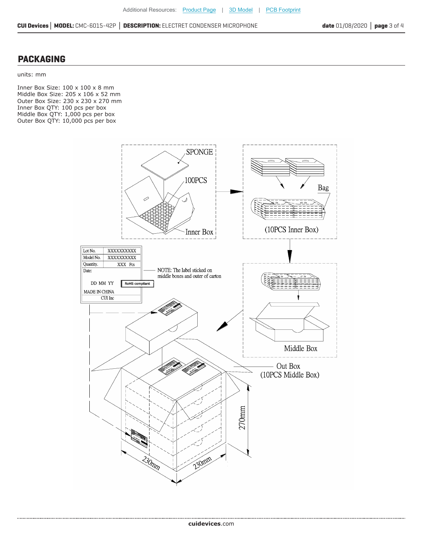#### **PACKAGING**

units: mm

.....................

Inner Box Size: 100 x 100 x 8 mm Middle Box Size: 205 x 106 x 52 mm Outer Box Size: 230 x 230 x 270 mm Inner Box QTY: 100 pcs per box Middle Box QTY: 1,000 pcs per box Outer Box QTY: 10,000 pcs per box